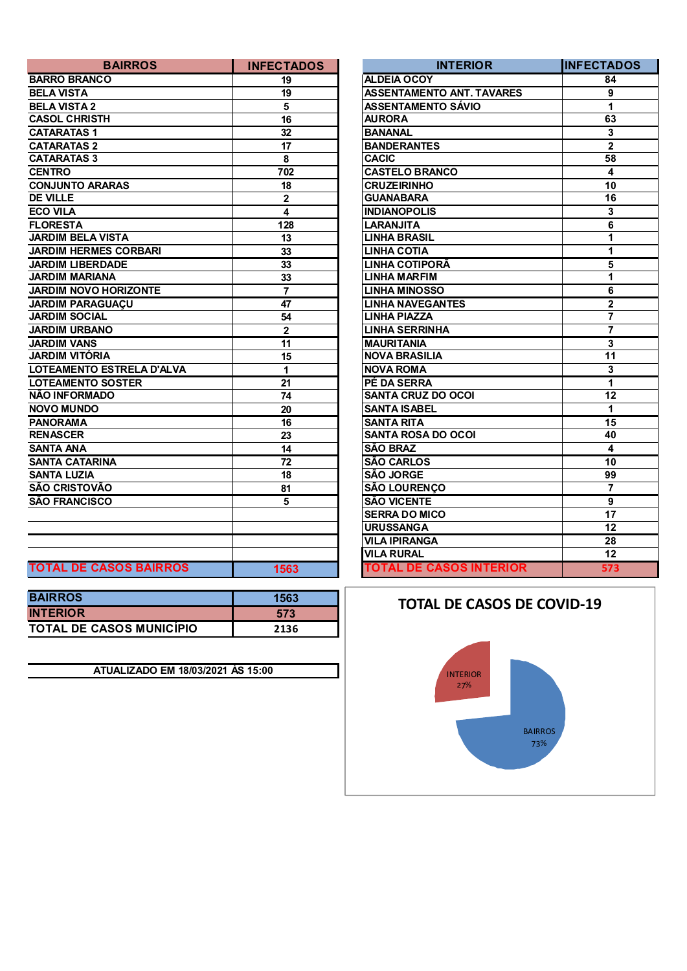| <b>BAIRROS</b>                | <b>INFECTADOS</b>       | <b>INTERIOR</b>                  | <b>INFECTAL</b>         |
|-------------------------------|-------------------------|----------------------------------|-------------------------|
| <b>BARRO BRANCO</b>           | 19                      | <b>ALDEIA OCOY</b>               | 84                      |
| <b>BELA VISTA</b>             | 19                      | <b>ASSENTAMENTO ANT. TAVARES</b> | 9                       |
| <b>BELA VISTA 2</b>           | 5                       | <b>ASSENTAMENTO SÁVIO</b>        | $\mathbf{1}$            |
| <b>CASOL CHRISTH</b>          | 16                      | <b>AURORA</b>                    | 63                      |
| <b>CATARATAS1</b>             | 32                      | <b>BANANAL</b>                   | $\mathbf{3}$            |
| <b>CATARATAS 2</b>            | 17                      | <b>BANDERANTES</b>               | $\overline{2}$          |
| <b>CATARATAS 3</b>            | 8                       | <b>CACIC</b>                     | $\overline{58}$         |
| <b>CENTRO</b>                 | 702                     | <b>CASTELO BRANCO</b>            | $\overline{\mathbf{4}}$ |
| <b>CONJUNTO ARARAS</b>        | 18                      | <b>CRUZEIRINHO</b>               | 10                      |
| <b>DE VILLE</b>               | $\mathbf 2$             | <b>GUANABARA</b>                 | $\overline{16}$         |
| <b>ECO VILA</b>               | $\overline{\mathbf{4}}$ | <b>INDIANOPOLIS</b>              | $\mathbf{3}$            |
| <b>FLORESTA</b>               | 128                     | <b>LARANJITA</b>                 | $\overline{6}$          |
| <b>JARDIM BELA VISTA</b>      | 13                      | <b>LINHA BRASIL</b>              | $\mathbf{1}$            |
| <b>JARDIM HERMES CORBARI</b>  | 33                      | <b>LINHA COTIA</b>               | $\mathbf{1}$            |
| <b>JARDIM LIBERDADE</b>       | 33                      | <b>LINHA COTIPORÃ</b>            | $\overline{5}$          |
| <b>JARDIM MARIANA</b>         | 33                      | <b>LINHA MARFIM</b>              | $\overline{1}$          |
| <b>JARDIM NOVO HORIZONTE</b>  | $\overline{7}$          | <b>LINHA MINOSSO</b>             | 6                       |
| <b>JARDIM PARAGUAÇU</b>       | 47                      | <b>LINHA NAVEGANTES</b>          | $\overline{2}$          |
| <b>JARDIM SOCIAL</b>          | 54                      | <b>LINHA PIAZZA</b>              | $\overline{7}$          |
| <b>JARDIM URBANO</b>          | $\overline{2}$          | <b>LINHA SERRINHA</b>            | $\overline{7}$          |
| <b>JARDIM VANS</b>            | 11                      | <b>MAURITANIA</b>                | $\overline{3}$          |
| <b>JARDIM VITÓRIA</b>         | 15                      | <b>NOVA BRASILIA</b>             | 11                      |
| LOTEAMENTO ESTRELA D'ALVA     | $\mathbf{1}$            | <b>NOVA ROMA</b>                 | $\overline{\mathbf{3}}$ |
| <b>LOTEAMENTO SOSTER</b>      | 21                      | PÉ DA SERRA                      | $\mathbf{1}$            |
| NÃO INFORMADO                 | 74                      | <b>SANTA CRUZ DO OCOI</b>        | $\overline{12}$         |
| <b>NOVO MUNDO</b>             | 20                      | <b>SANTA ISABEL</b>              | $\mathbf{1}$            |
| <b>PANORAMA</b>               | 16                      | <b>SANTA RITA</b>                | $\overline{15}$         |
| <b>RENASCER</b>               | 23                      | <b>SANTA ROSA DO OCOI</b>        | 40                      |
| <b>SANTA ANA</b>              | 14                      | <b>SÃO BRAZ</b>                  | $\overline{\mathbf{4}}$ |
| <b>SANTA CATARINA</b>         | 72                      | <b>SÃO CARLOS</b>                | 10                      |
| <b>SANTA LUZIA</b>            | 18                      | <b>SÃO JORGE</b>                 | $\overline{99}$         |
| SÃO CRISTOVÃO                 | 81                      | <b>SÃO LOURENÇO</b>              | $\overline{7}$          |
| <b>SÃO FRANCISCO</b>          | 5                       | <b>SÃO VICENTE</b>               | 9                       |
|                               |                         | <b>SERRA DO MICO</b>             | 17                      |
|                               |                         | <b>URUSSANGA</b>                 | $\overline{12}$         |
|                               |                         | <b>VILA IPIRANGA</b>             | 28                      |
|                               |                         | <b>VILA RURAL</b>                | 12                      |
| <b>TOTAL DE CASOS BAIRROS</b> | 1563                    | <b>TOTAL DE CASOS INTERIOR</b>   | 573                     |

| <b>BAIRROS</b>                  | 1563 |
|---------------------------------|------|
| <b>INTERIOR</b>                 | 573  |
| <b>TOTAL DE CASOS MUNICÍPIO</b> | 2136 |

**ATUALIZADO EM 18/03/2021 ÀS 15:00**

| <b>BAIRROS</b>          | <b>INFECTADOS</b>       | <b>INTERIOR</b>                  | <b>INFECTADOS</b>       |
|-------------------------|-------------------------|----------------------------------|-------------------------|
| $\overline{\mathbf{o}}$ | 19                      | <b>ALDEIA OCOY</b>               | $\overline{84}$         |
|                         | 19                      | <b>ASSENTAMENTO ANT. TAVARES</b> | 9                       |
|                         | 5                       | <b>ASSENTAMENTO SÁVIO</b>        | 1                       |
| $\overline{\mathsf{H}}$ | 16                      | <b>AURORA</b>                    | 63                      |
|                         | 32                      | <b>BANANAL</b>                   | 3                       |
|                         | 17                      | <b>BANDERANTES</b>               | $\overline{\mathbf{2}}$ |
|                         | 8                       | <b>CACIC</b>                     | 58                      |
|                         | 702                     | <b>CASTELO BRANCO</b>            | $\overline{\mathbf{4}}$ |
| <b>ARAS</b>             | 18                      | <b>CRUZEIRINHO</b>               | 10                      |
|                         | $\mathbf 2$             | <b>GUANABARA</b>                 | $\overline{16}$         |
|                         | 4                       | <b>INDIANOPOLIS</b>              | $\mathbf{3}$            |
|                         | 128                     | <b>LARANJITA</b>                 | 6                       |
| /ISTA                   | 13                      | <b>LINHA BRASIL</b>              | 1                       |
| <b>S CORBARI:</b>       | 33                      | <b>LINHA COTIA</b>               | 1                       |
| <b>DADE</b>             | 33                      | LINHA COTIPORÃ                   | $\overline{\mathbf{5}}$ |
| NА                      | 33                      | <b>LINHA MARFIM</b>              | 1                       |
| <b>HORIZONTE</b>        | $\overline{7}$          | <b>LINHA MINOSSO</b>             | $\overline{6}$          |
| <b>JUAÇU</b>            | 47                      | <b>LINHA NAVEGANTES</b>          | $\overline{\mathbf{2}}$ |
|                         | 54                      | <b>LINHA PIAZZA</b>              | $\overline{7}$          |
| Ю                       | $\overline{\mathbf{2}}$ | <b>LINHA SERRINHA</b>            | $\overline{7}$          |
|                         | $\overline{11}$         | <b>MAURITANIA</b>                | 3                       |
| A                       | 15                      | <b>NOVA BRASILIA</b>             | 11                      |
| <b>ESTRELA D'ALVA</b>   | 1                       | <b>NOVA ROMA</b>                 | 3                       |
| <b>SOSTER</b>           | 21                      | PÉ DA SERRA                      | 1                       |
| סכ                      | 74                      | <b>SANTA CRUZ DO OCOI</b>        | $\overline{12}$         |
|                         | 20                      | <b>SANTA ISABEL</b>              | 1                       |
|                         | 16                      | <b>SANTA RITA</b>                | 15                      |
|                         | 23                      | <b>SANTA ROSA DO OCOI</b>        | 40                      |
|                         | 14                      | <b>SÃO BRAZ</b>                  | 4                       |
| NΑ                      | $\overline{72}$         | <b>SÃO CARLOS</b>                | $\overline{10}$         |
|                         | 18                      | <b>SÃO JORGE</b>                 | 99                      |
| O                       | 81                      | <b>SÃO LOURENÇO</b>              | 7                       |
| õ                       | 5                       | <b>SÃO VICENTE</b>               | 9                       |
|                         |                         | <b>SERRA DO MICO</b>             | $\overline{17}$         |
|                         |                         | <b>URUSSANGA</b>                 | 12                      |
|                         |                         | <b>VILA IPIRANGA</b>             | 28                      |
|                         |                         | <b>VILA RURAL</b>                | 12                      |
| <b>ASOS BAIRROS</b>     | 1563                    | <b>TOTAL DE CASOS INTERIOR</b>   | 573                     |

## **TOTAL DE CASOS DE COVID-19**

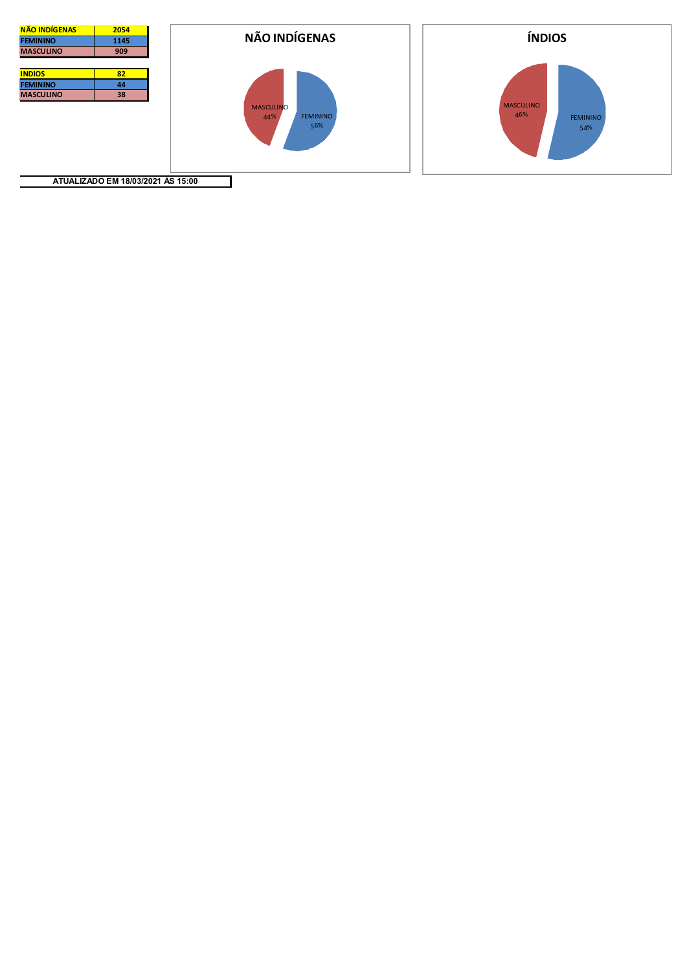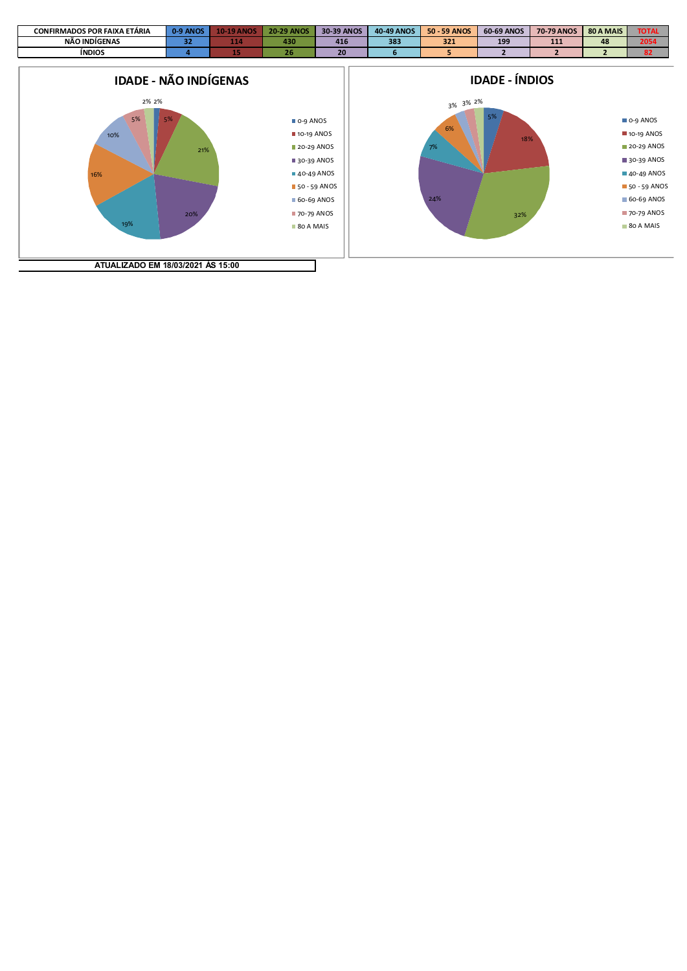

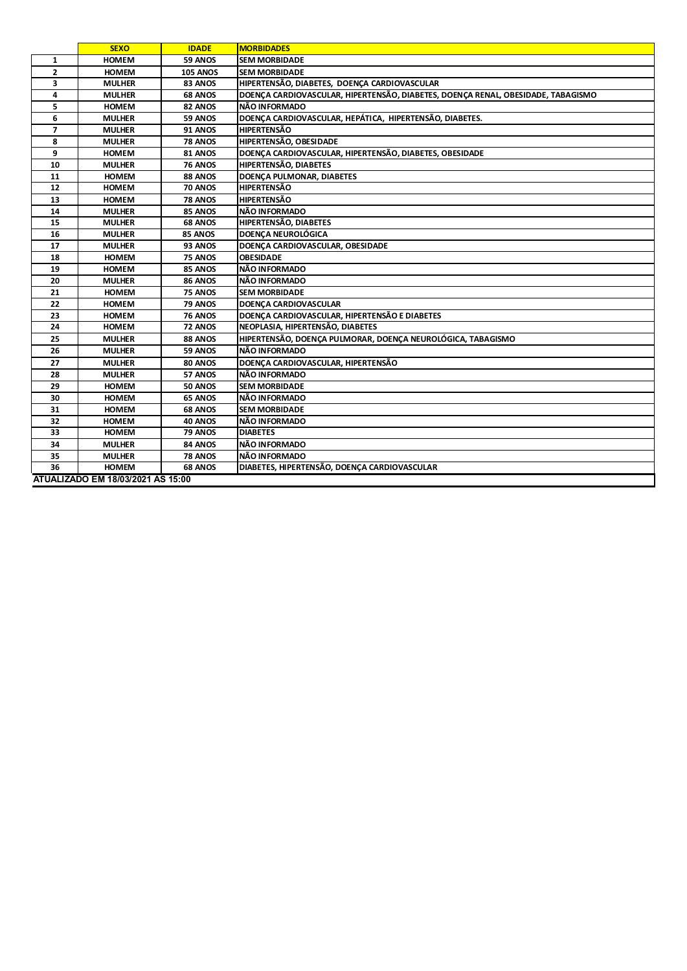|                                   | <b>SEXO</b>   | <b>IDADE</b>    | <b>MORBIDADES</b>                                                                |  |
|-----------------------------------|---------------|-----------------|----------------------------------------------------------------------------------|--|
| 1                                 | <b>HOMEM</b>  | 59 ANOS         | <b>SEM MORBIDADE</b>                                                             |  |
| $\overline{2}$                    | <b>HOMEM</b>  | <b>105 ANOS</b> | <b>SEM MORBIDADE</b>                                                             |  |
| 3                                 | <b>MULHER</b> | 83 ANOS         | HIPERTENSÃO, DIABETES, DOENÇA CARDIOVASCULAR                                     |  |
| 4                                 | <b>MULHER</b> | 68 ANOS         | DOENÇA CARDIOVASCULAR, HIPERTENSÃO, DIABETES, DOENÇA RENAL, OBESIDADE, TABAGISMO |  |
| 5                                 | <b>HOMEM</b>  | 82 ANOS         | NÃO INFORMADO                                                                    |  |
| 6                                 | <b>MULHER</b> | 59 ANOS         | DOENÇA CARDIOVASCULAR, HEPÁTICA, HIPERTENSÃO, DIABETES.                          |  |
| $\overline{ }$                    | <b>MULHER</b> | 91 ANOS         | <b>HIPERTENSÃO</b>                                                               |  |
| 8                                 | <b>MULHER</b> | <b>78 ANOS</b>  | HIPERTENSÃO, OBESIDADE                                                           |  |
| 9                                 | <b>HOMEM</b>  | 81 ANOS         | DOENÇA CARDIOVASCULAR, HIPERTENSÃO, DIABETES, OBESIDADE                          |  |
| 10                                | <b>MULHER</b> | <b>76 ANOS</b>  | <b>HIPERTENSÃO, DIABETES</b>                                                     |  |
| 11                                | <b>HOMEM</b>  | 88 ANOS         | DOENÇA PULMONAR, DIABETES                                                        |  |
| 12                                | <b>HOMEM</b>  | <b>70 ANOS</b>  | <b>HIPERTENSÃO</b>                                                               |  |
| 13                                | <b>HOMEM</b>  | 78 ANOS         | <b>HIPERTENSÃO</b>                                                               |  |
| 14                                | <b>MULHER</b> | 85 ANOS         | NÃO INFORMADO                                                                    |  |
| 15                                | <b>MULHER</b> | 68 ANOS         | <b>HIPERTENSÃO, DIABETES</b>                                                     |  |
| 16                                | <b>MULHER</b> | 85 ANOS         | <b>DOENÇA NEUROLÓGICA</b>                                                        |  |
| 17                                | <b>MULHER</b> | 93 ANOS         | DOENCA CARDIOVASCULAR, OBESIDADE                                                 |  |
| 18                                | <b>HOMEM</b>  | 75 ANOS         | <b>OBESIDADE</b>                                                                 |  |
| 19                                | <b>HOMEM</b>  | 85 ANOS         | NÃO INFORMADO                                                                    |  |
| 20                                | <b>MULHER</b> | 86 ANOS         | NÃO INFORMADO                                                                    |  |
| 21                                | <b>HOMEM</b>  | 75 ANOS         | <b>SEM MORBIDADE</b>                                                             |  |
| 22                                | <b>HOMEM</b>  | 79 ANOS         | DOENCA CARDIOVASCULAR                                                            |  |
| 23                                | <b>HOMEM</b>  | <b>76 ANOS</b>  | DOENÇA CARDIOVASCULAR, HIPERTENSÃO E DIABETES                                    |  |
| 24                                | <b>HOMEM</b>  | 72 ANOS         | NEOPLASIA, HIPERTENSÃO, DIABETES                                                 |  |
| 25                                | <b>MULHER</b> | 88 ANOS         | HIPERTENSÃO, DOENÇA PULMORAR, DOENÇA NEUROLÓGICA, TABAGISMO                      |  |
| 26                                | <b>MULHER</b> | 59 ANOS         | NÃO INFORMADO                                                                    |  |
| 27                                | <b>MULHER</b> | 80 ANOS         | DOENÇA CARDIOVASCULAR, HIPERTENSÃO                                               |  |
| 28                                | <b>MULHER</b> | 57 ANOS         | NÃO INFORMADO                                                                    |  |
| 29                                | <b>HOMEM</b>  | <b>50 ANOS</b>  | <b>SEM MORBIDADE</b>                                                             |  |
| 30                                | <b>HOMEM</b>  | 65 ANOS         | NÃO INFORMADO                                                                    |  |
| 31                                | <b>HOMEM</b>  | 68 ANOS         | <b>SEM MORBIDADE</b>                                                             |  |
| 32                                | <b>HOMEM</b>  | 40 ANOS         | NÃO INFORMADO                                                                    |  |
| 33                                | <b>HOMEM</b>  | 79 ANOS         | <b>DIABETES</b>                                                                  |  |
| 34                                | <b>MULHER</b> | 84 ANOS         | NÃO INFORMADO                                                                    |  |
| 35                                | <b>MULHER</b> | 78 ANOS         | NÃO INFORMADO                                                                    |  |
| 36                                | <b>HOMEM</b>  | 68 ANOS         | DIABETES, HIPERTENSÃO, DOENÇA CARDIOVASCULAR                                     |  |
| ATUALIZADO EM 18/03/2021 ÀS 15:00 |               |                 |                                                                                  |  |